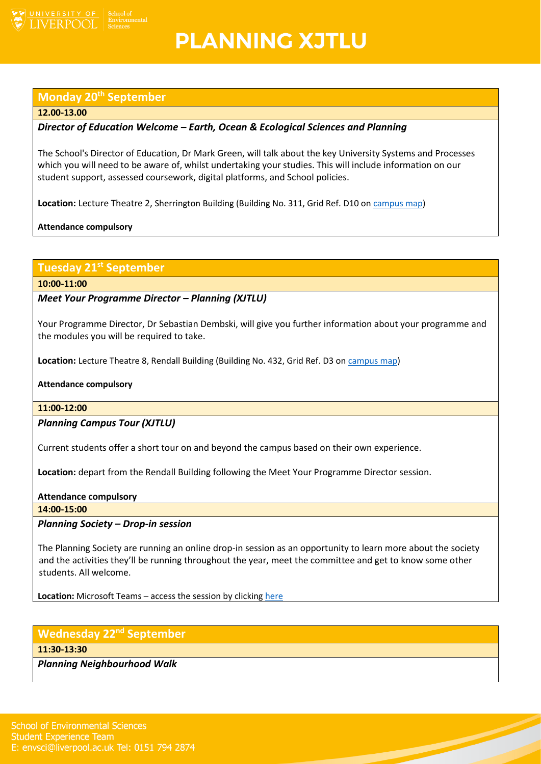

## **PLANNING XJTLU**

## **Monday 20th September**

#### **12.00-13.00**

## *Director of Education Welcome – Earth, Ocean & Ecological Sciences and Planning*

The School's Director of Education, Dr Mark Green, will talk about the key University Systems and Processes which you will need to be aware of, whilst undertaking your studies. This will include information on our student support, assessed coursework, digital platforms, and School policies.

**Location:** Lecture Theatre 2, Sherrington Building (Building No. 311, Grid Ref. D10 o[n campus map\)](https://www.liverpool.ac.uk/media/livacuk/maps/Campus,Map,2020_0903.pdf)

**Attendance compulsory**

## **Tuesday 21st September**

**10:00-11:00**

#### *Meet Your Programme Director – Planning (XJTLU)*

Your Programme Director, Dr Sebastian Dembski, will give you further information about your programme and the modules you will be required to take.

**Location:** Lecture Theatre 8, Rendall Building (Building No. 432, Grid Ref. D3 on [campus map\)](https://www.liverpool.ac.uk/media/livacuk/maps/Campus,Map,2020_0903.pdf)

#### **Attendance compulsory**

#### **11:00-12:00**

#### *Planning Campus Tour (XJTLU)*

Current students offer a short tour on and beyond the campus based on their own experience.

**Location:** depart from the Rendall Building following the Meet Your Programme Director session.

#### **Attendance compulsory**

**14:00-15:00**

#### *Planning Society – Drop-in session*

The Planning Society are running an online drop-in session as an opportunity to learn more about the society and the activities they'll be running throughout the year, meet the committee and get to know some other students. All welcome.

**Location:** Microsoft Teams – access the session by clicking [here](https://teams.microsoft.com/l/meetup-join/19%3ameeting_M2Q2MGM2NzgtZTI5Yy00MTVmLWIzODktOWEzNmI4ZjkxNGE3%40thread.v2/0?context=%7b%22Tid%22%3a%2253255131-b129-4010-86e1-474bfd7e8076%22%2c%22Oid%22%3a%2200ef987e-fd61-402b-b7a2-685492d33fc0%22%7d)

#### **Wednesday 22nd September**

**11:30-13:30**

*Planning Neighbourhood Walk*